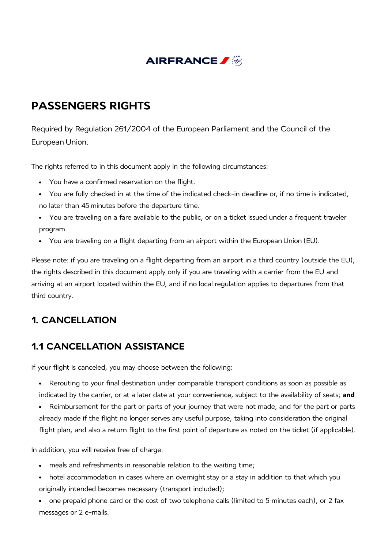

# **PASSENGERS RIGHTS**

Required by Regulation 261/2004 of the European Parliament and the Council of the European Union.

The rights referred to in this document apply in the following circumstances:

- You have a confirmed reservation on the flight.
- You are fully checked in at the time of the indicated check-in deadline or, if no time is indicated, no later than 45 minutes before the departure time.
- You are traveling on a fare available to the public, or on a ticket issued under a frequent traveler program.
- You are traveling on a flight departing from an airport within the European Union (EU).  $\bullet$

Please note: if you are traveling on a flight departing from an airport in a third country (outside the EU), the rights described in this document apply only if you are traveling with a carrier from the EU and arriving at an airport located within the EU, and if no local regulation applies to departures from that third country.

# **1. CANCELLATION**

## **1.1 CANCELLATION ASSISTANCE**

If your flight is canceled, you may choose between the following:

- Rerouting to your final destination under comparable transport conditions as soon as possible as indicated by the carrier, or at a later date at your convenience, subject to the availability of seats; **and**
- Reimbursement for the part or parts of your journey that were not made, and for the part or parts  $\bullet$ already made if the flight no longer serves any useful purpose, taking into consideration the original flight plan, and also a return flight to the first point of departure as noted on the ticket (if applicable).

In addition, you will receive free of charge:

- meals and refreshments in reasonable relation to the waiting time;
- hotel accommodation in cases where an overnight stay or a stay in addition to that which you originally intended becomes necessary (transport included);
- one prepaid phone card or the cost of two telephone calls (limited to 5 minutes each), or 2 fax  $\bullet$ messages or 2 e-mails.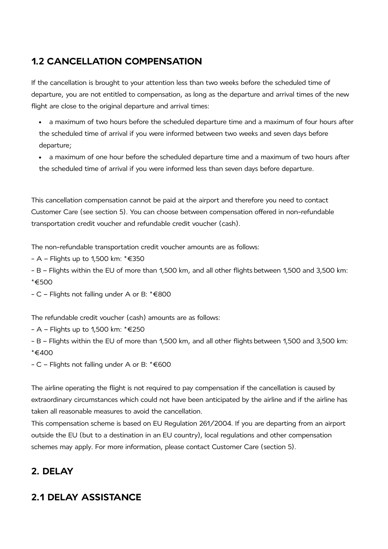## **1.2 CANCELLATION COMPENSATION**

If the cancellation is brought to your attention less than two weeks before the scheduled time of departure, you are not entitled to compensation, as long as the departure and arrival times of the new flight are close to the original departure and arrival times:

- a maximum of two hours before the scheduled departure time and a maximum of four hours after the scheduled time of arrival if you were informed between two weeks and seven days before departure;
- a maximum of one hour before the scheduled departure time and a maximum of two hours after the scheduled time of arrival if you were informed less than seven days before departure.

This cancellation compensation cannot be paid at the airport and therefore you need to contact Customer Care (see section 5). You can choose between compensation offered in non-refundable transportation credit voucher and refundable credit voucher (cash).

The non-refundable transportation credit voucher amounts are as follows:

- A Flights up to 1,500 km: \*€350
- B Flights within the EU of more than 1,500 km, and all other flights between 1,500 and 3,500 km: \*€500
- C Flights not falling under A or B: \*€800

The refundable credit voucher (cash) amounts are as follows:

- A Flights up to 1,500 km: \*€250
- B Flights within the EU of more than 1,500 km, and all other flights between 1,500 and 3,500 km: \*€400
- C Flights not falling under A or B: \*€600

The airline operating the flight is not required to pay compensation if the cancellation is caused by extraordinary circumstances which could not have been anticipated by the airline and if the airline has taken all reasonable measures to avoid the cancellation.

This compensation scheme is based on EU Regulation 261/2004. If you are departing from an airport outside the EU (but to a destination in an EU country), local regulations and other compensation schemes may apply. For more information, please contact Customer Care (section 5).

# **2. DELAY**

## **2.1 DELAY ASSISTANCE**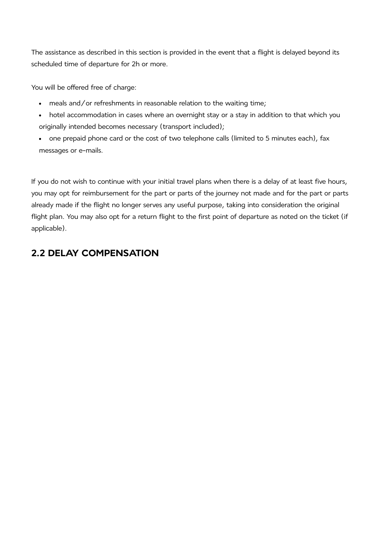The assistance as described in this section is provided in the event that a flight is delayed beyond its scheduled time of departure for 2h or more.

You will be offered free of charge:

- meals and/or refreshments in reasonable relation to the waiting time;
- hotel accommodation in cases where an overnight stay or a stay in addition to that which you  $\bullet$ originally intended becomes necessary (transport included);
- one prepaid phone card or the cost of two telephone calls (limited to 5 minutes each), fax  $\bullet$ messages or e-mails.

If you do not wish to continue with your initial travel plans when there is a delay of at least five hours, you may opt for reimbursement for the part or parts of the journey not made and for the part or parts already made if the flight no longer serves any useful purpose, taking into consideration the original flight plan. You may also opt for a return flight to the first point of departure as noted on the ticket (if applicable).

## **2.2 DELAY COMPENSATION**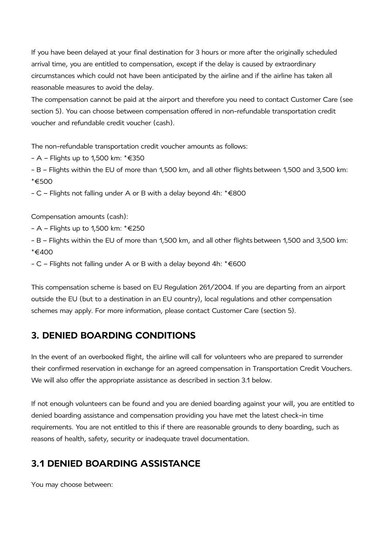If you have been delayed at your final destination for 3 hours or more after the originally scheduled arrival time, you are entitled to compensation, except if the delay is caused by extraordinary circumstances which could not have been anticipated by the airline and if the airline has taken all reasonable measures to avoid the delay.

The compensation cannot be paid at the airport and therefore you need to contact Customer Care (see section 5). You can choose between compensation offered in non-refundable transportation credit voucher and refundable credit voucher (cash).

The non-refundable transportation credit voucher amounts as follows:

- A – Flights up to 1,500 km: \*€350

- B – Flights within the EU of more than 1,500 km, and all other flights between 1,500 and 3,500 km: \*€500

- C – Flights not falling under A or B with a delay beyond 4h: \*€800

Compensation amounts (cash):

- A – Flights up to 1,500 km: \*€250

- B – Flights within the EU of more than 1,500 km, and all other flights between 1,500 and 3,500 km: \*€400

- C – Flights not falling under A or B with a delay beyond 4h: \*€600

This compensation scheme is based on EU Regulation 261/2004. If you are departing from an airport outside the EU (but to a destination in an EU country), local regulations and other compensation schemes may apply. For more information, please contact Customer Care (section 5).

#### **3. DENIED BOARDING CONDITIONS**

In the event of an overbooked flight, the airline will call for volunteers who are prepared to surrender their confirmed reservation in exchange for an agreed compensation in Transportation Credit Vouchers. We will also offer the appropriate assistance as described in section 3.1 below.

If not enough volunteers can be found and you are denied boarding against your will, you are entitled to denied boarding assistance and compensation providing you have met the latest check-in time requirements. You are not entitled to this if there are reasonable grounds to deny boarding, such as reasons of health, safety, security or inadequate travel documentation.

#### **3.1 DENIED BOARDING ASSISTANCE**

You may choose between: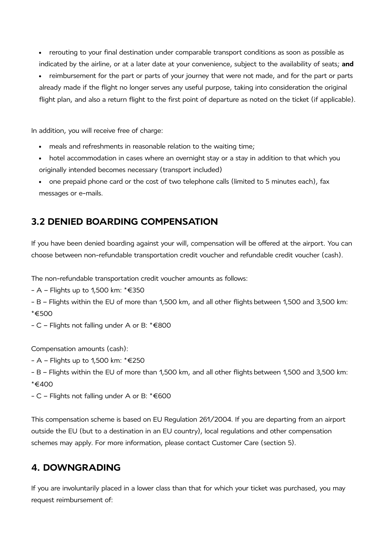- rerouting to your final destination under comparable transport conditions as soon as possible as indicated by the airline, or at a later date at your convenience, subject to the availability of seats; **and**
- reimbursement for the part or parts of your journey that were not made, and for the part or parts  $\bullet$ already made if the flight no longer serves any useful purpose, taking into consideration the original flight plan, and also a return flight to the first point of departure as noted on the ticket (if applicable).

In addition, you will receive free of charge:

- meals and refreshments in reasonable relation to the waiting time;
- hotel accommodation in cases where an overnight stay or a stay in addition to that which you originally intended becomes necessary (transport included)
- $\bullet$ one prepaid phone card or the cost of two telephone calls (limited to 5 minutes each), fax messages or e-mails.

#### **3.2 DENIED BOARDING COMPENSATION**

If you have been denied boarding against your will, compensation will be offered at the airport. You can choose between non-refundable transportation credit voucher and refundable credit voucher (cash).

The non-refundable transportation credit voucher amounts as follows:

- A – Flights up to 1,500 km: \*€350

- B Flights within the EU of more than 1,500 km, and all other flights between 1,500 and 3,500 km: \*€500
- C Flights not falling under A or B: \*€800

Compensation amounts (cash):

- A Flights up to 1,500 km: \*€250
- B Flights within the EU of more than 1,500 km, and all other flights between 1,500 and 3,500 km: \*€400
- C Flights not falling under A or B: \*€600

This compensation scheme is based on EU Regulation 261/2004. If you are departing from an airport outside the EU (but to a destination in an EU country), local regulations and other compensation schemes may apply. For more information, please contact Customer Care (section 5).

#### **4. DOWNGRADING**

If you are involuntarily placed in a lower class than that for which your ticket was purchased, you may request reimbursement of: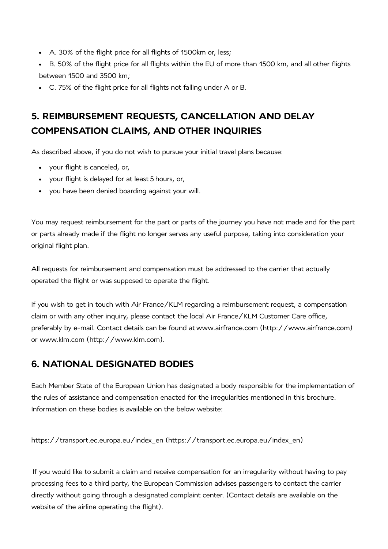- A. 30% of the flight price for all flights of 1500km or, less;
- B. 50% of the flight price for all flights within the EU of more than 1500 km, and all other flights between 1500 and 3500 km;
- C. 75% of the flight price for all flights not falling under A or B.

# **5. REIMBURSEMENT REQUESTS, CANCELLATION AND DELAY COMPENSATION CLAIMS, AND OTHER INQUIRIES**

As described above, if you do not wish to pursue your initial travel plans because:

- your flight is canceled, or,
- your flight is delayed for at least 5 hours, or,
- you have been denied boarding against your will.

You may request reimbursement for the part or parts of the journey you have not made and for the part or parts already made if the flight no longer serves any useful purpose, taking into consideration your original flight plan.

All requests for reimbursement and compensation must be addressed to the carrier that actually operated the flight or was supposed to operate the flight.

If you wish to get in touch with Air France/KLM regarding a reimbursement request, a compensation claim or with any other inquiry, please contact the local Air France/KLM Customer Care office, preferably by e-mail. Contact details can be found at www.airfrance.com [\(http://www.airfrance.com\)](http://www.airfrance.com/) or www.klm.com [\(http://www.klm.com\).](http://www.klm.com/)

#### **6. NATIONAL DESIGNATED BODIES**

Each Member State of the European Union has designated a body responsible for the implementation of the rules of assistance and compensation enacted for the irregularities mentioned in this brochure. Information on these bodies is available on the below website:

https://transport.ec.europa.eu/index\_en [\(https://transport.ec.europa.eu/index\\_en\)](https://transport.ec.europa.eu/index_en)

If you would like to submit a claim and receive compensation for an irregularity without having to pay processing fees to a third party, the European Commission advises passengers to contact the carrier directly without going through a designated complaint center. (Contact details are available on the website of the airline operating the flight).